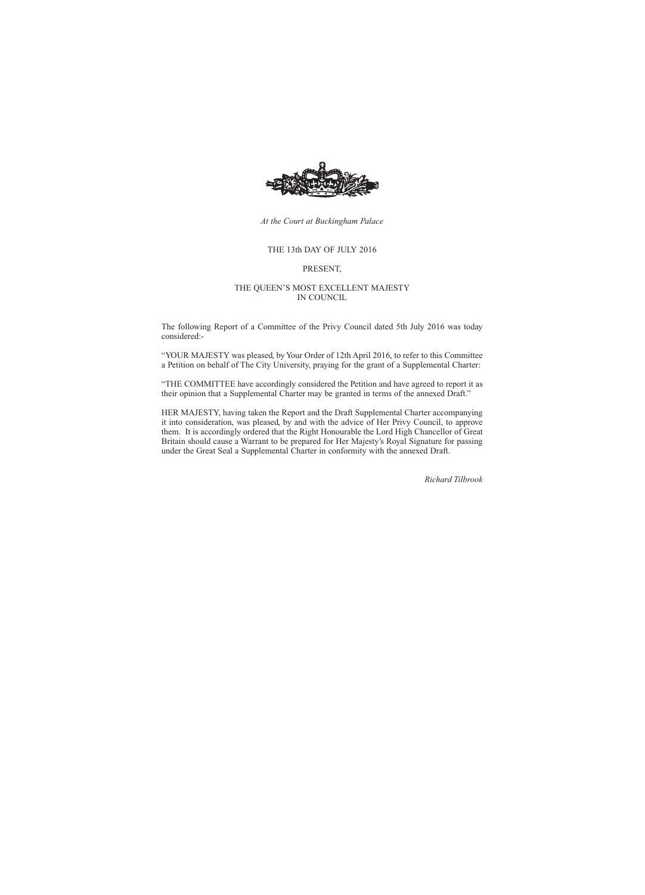

*At the Court at Buckingham Palace*

#### THE 13th DAY OF JULY 2016

#### PRESENT,

#### THE QUEEN'S MOST EXCELLENT MAJESTY IN COUNCIL

The following Report of a Committee of the Privy Council dated 5th July 2016 was today considered:-

"YOUR MAJESTY was pleased, by Your Order of 12th April 2016, to refer to this Committee a Petition on behalf of The City University, praying for the grant of a Supplemental Charter:

"THE COMMITTEE have accordingly considered the Petition and have agreed to report it as their opinion that a Supplemental Charter may be granted in terms of the annexed Draft."

HER MAJESTY, having taken the Report and the Draft Supplemental Charter accompanying it into consideration, was pleased, by and with the advice of Her Privy Council, to approve them. It is accordingly ordered that the Right Honourable the Lord High Chancellor of Great Britain should cause a Warrant to be prepared for Her Majesty's Royal Signature for passing under the Great Seal a Supplemental Charter in conformity with the annexed Draft.

*Richard Tilbrook*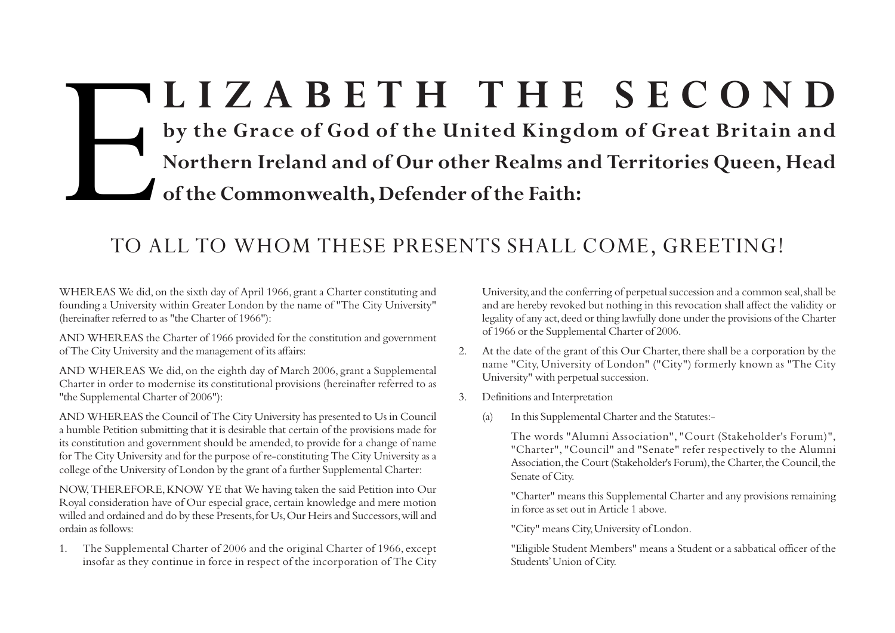# E**LIZABETH THE SECOND by the Grace of God of the United Kingdom of Great Britain and Northern Ireland and of Our other Realms and Territories Queen, Head of the Commonwealth, Defender of the Faith:**

## TO ALL TO WHOM THESE PRESENTS SHALL COME, GREETING!

WHEREAS We did, on the sixth day of April 1966, grant a Charter constituting and founding a University within Greater London by the name of "The City University" (hereinafter referred to as "the Charter of 1966"):

AND WHEREAS the Charter of 1966 provided for the constitution and government of The City University and the management of its affairs:

AND WHEREAS We did, on the eighth day of March 2006, grant a Supplemental Charter in order to modernise its constitutional provisions (hereinafter referred to as "the Supplemental Charter of 2006"):

AND WHEREAS the Council of The City University has presented to Us in Council a humble Petition submitting that it is desirable that certain of the provisions made for its constitution and government should be amended, to provide for a change of name for The City University and for the purpose of re-constituting The City University as a college of the University of London by the grant of a further Supplemental Charter:

NOW, THEREFORE, KNOW YE that We having taken the said Petition into Our Royal consideration have of Our especial grace, certain knowledge and mere motion willed and ordained and do by these Presents, for Us, Our Heirs and Successors, will and ordain as follows:

1. The Supplemental Charter of 2006 and the original Charter of 1966, except insofar as they continue in force in respect of the incorporation of The City

University, and the conferring of perpetual succession and a common seal, shall be and are hereby revoked but nothing in this revocation shall affect the validity or legality of any act, deed or thing lawfully done under the provisions of the Charter of 1966 or the Supplemental Charter of 2006.

- 2. At the date of the grant of this Our Charter, there shall be a corporation by the name "City, University of London" ("City") formerly known as "The City University" with perpetual succession.
- 3. Definitions and Interpretation
	- (a) In this Supplemental Charter and the Statutes:-

The words "Alumni Association", "Court (Stakeholder's Forum)", "Charter", "Council" and "Senate" refer respectively to the Alumni Association, the Court (Stakeholder's Forum), the Charter, the Council, the Senate of City.

"Charter" means this Supplemental Charter and any provisions remaining in force as set out in Article 1 above.

"City" means City, University of London.

"Eligible Student Members" means a Student or a sabbatical officer of the Students' Union of City.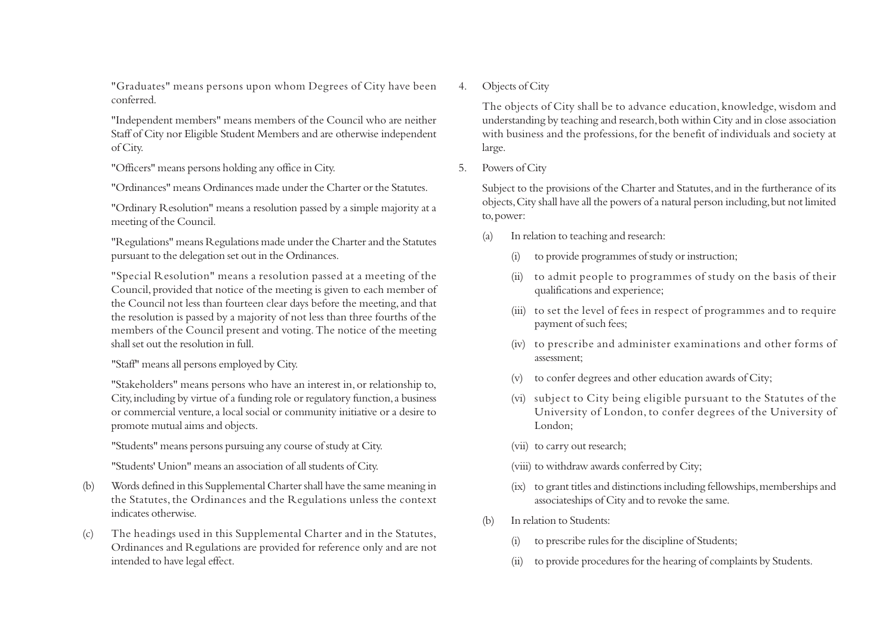"Graduates" means persons upon whom Degrees of City have been conferred.

"Independent members" means members of the Council who are neither Staff of City nor Eligible Student Members and are otherwise independent of City.

"Officers" means persons holding any office in City.

"Ordinances" means Ordinances made under the Charter or the Statutes.

"Ordinary Resolution" means a resolution passed by a simple majority at a meeting of the Council.

"Regulations" means Regulations made under the Charter and the Statutes pursuant to the delegation set out in the Ordinances.

"Special Resolution" means a resolution passed at a meeting of the Council, provided that notice of the meeting is given to each member of the Council not less than fourteen clear days before the meeting, and that the resolution is passed by a majority of not less than three fourths of the members of the Council present and voting. The notice of the meeting shall set out the resolution in full.

#### "Staff" means all persons employed by City.

"Stakeholders" means persons who have an interest in, or relationship to, City, including by virtue of a funding role or regulatory function, a business or commercial venture, a local social or community initiative or a desire to promote mutual aims and objects.

"Students" means persons pursuing any course of study at City.

"Students' Union" means an association of all students of City.

- (b) Words defined in this Supplemental Charter shall have the same meaning in the Statutes, the Ordinances and the Regulations unless the context indicates otherwise.
- (c) The headings used in this Supplemental Charter and in the Statutes, Ordinances and Regulations are provided for reference only and are not intended to have legal effect.

#### 4. Objects of City

The objects of City shall be to advance education, knowledge, wisdom and understanding by teaching and research, both within City and in close association with business and the professions, for the benefit of individuals and society at large.

5. Powers of City

Subject to the provisions of the Charter and Statutes, and in the furtherance of its objects, City shall have all the powers of a natural person including, but not limited to, power:

- (a) In relation to teaching and research:
	- (i) to provide programmes of study or instruction;
	- (ii) to admit people to programmes of study on the basis of their qualifications and experience;
	- (iii) to set the level of fees in respect of programmes and to require payment of such fees;
	- (iv) to prescribe and administer examinations and other forms of assessment;
	- (v) to confer degrees and other education awards of City;
	- (vi) subject to City being eligible pursuant to the Statutes of the University of London, to confer degrees of the University of London;
	- (vii) to carry out research;
	- (viii) to withdraw awards conferred by City;
	- (ix) to grant titles and distinctions including fellowships, memberships and associateships of City and to revoke the same.
- (b) In relation to Students:
	- (i) to prescribe rules for the discipline of Students;
	- (ii) to provide procedures for the hearing of complaints by Students.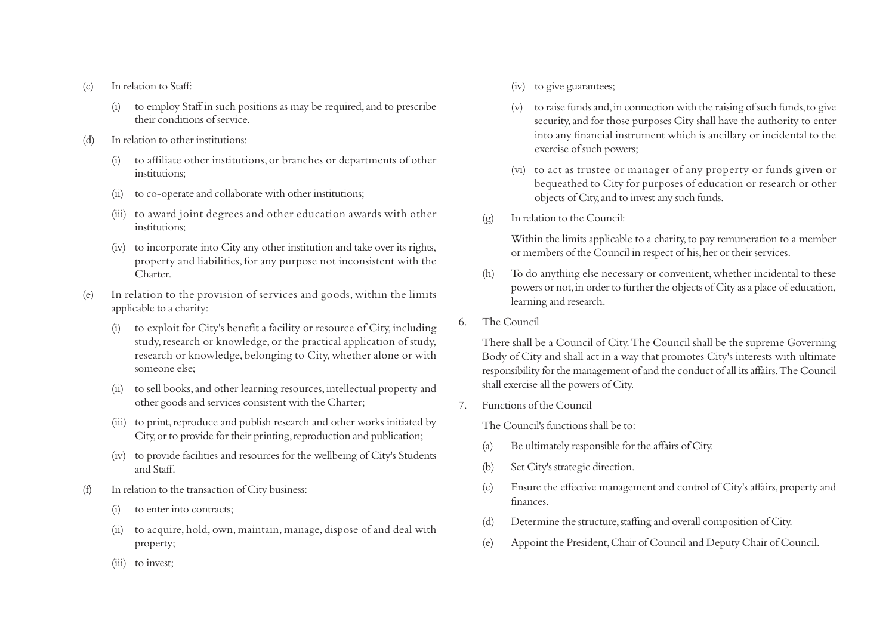- (c) In relation to Staff:
	- (i) to employ Staff in such positions as may be required, and to prescribe their conditions of service.
- (d) In relation to other institutions:
	- (i) to affiliate other institutions, or branches or departments of other institutions;
	- (ii) to co-operate and collaborate with other institutions;
	- (iii) to award joint degrees and other education awards with other institutions;
	- (iv) to incorporate into City any other institution and take over its rights, property and liabilities, for any purpose not inconsistent with the Charter.
- (e) In relation to the provision of services and goods, within the limits applicable to a charity:
	- (i) to exploit for City's benefit a facility or resource of City, including study, research or knowledge, or the practical application of study, research or knowledge, belonging to City, whether alone or with someone else;
	- (ii) to sell books, and other learning resources, intellectual property and other goods and services consistent with the Charter;
	- (iii) to print, reproduce and publish research and other works initiated by City, or to provide for their printing, reproduction and publication;
	- (iv) to provide facilities and resources for the wellbeing of City's Students and Staff.
- (f) In relation to the transaction of City business:
	- to enter into contracts:
	- (ii) to acquire, hold, own, maintain, manage, dispose of and deal with property;
- (iv) to give guarantees;
- (v) to raise funds and, in connection with the raising of such funds, to give security, and for those purposes City shall have the authority to enter into any financial instrument which is ancillary or incidental to the exercise of such powers;
- (vi) to act as trustee or manager of any property or funds given or bequeathed to City for purposes of education or research or other objects of City, and to invest any such funds.
- (g) In relation to the Council:

Within the limits applicable to a charity, to pay remuneration to a member or members of the Council in respect of his, her or their services.

- (h) To do anything else necessary or convenient, whether incidental to these powers or not, in order to further the objects of City as a place of education, learning and research.
- 6. The Council

There shall be a Council of City. The Council shall be the supreme Governing Body of City and shall act in a way that promotes City's interests with ultimate responsibility for the management of and the conduct of all its affairs. The Council shall exercise all the powers of City.

7. Functions of the Council

The Council's functions shall be to:

- (a) Be ultimately responsible for the affairs of City.
- (b) Set City's strategic direction.
- (c) Ensure the effective management and control of City's affairs, property and finances.
- (d) Determine the structure, staffing and overall composition of City.
- (e) Appoint the President, Chair of Council and Deputy Chair of Council.

(iii) to invest;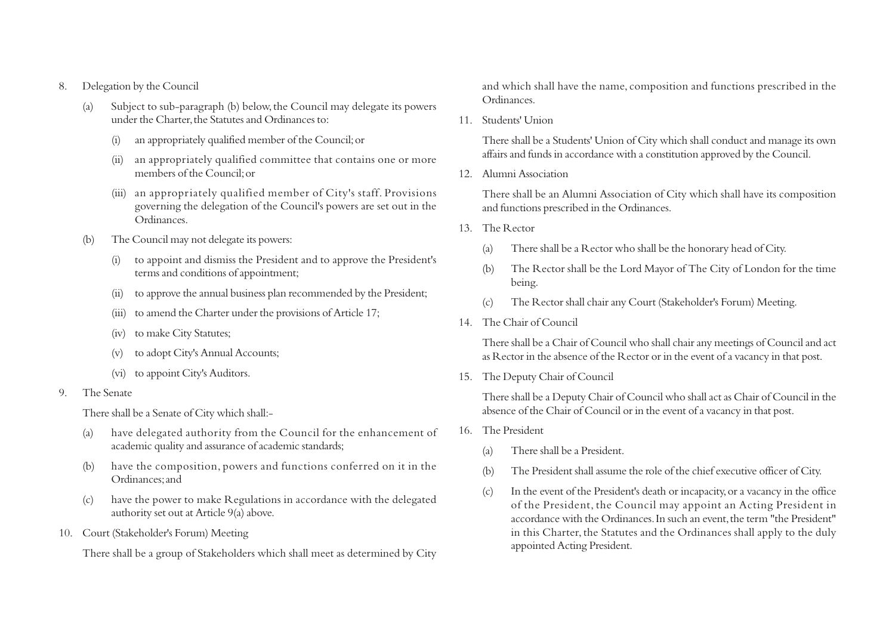- 8. Delegation by the Council
	- (a) Subject to sub-paragraph (b) below, the Council may delegate its powers under the Charter, the Statutes and Ordinances to:
		- (i) an appropriately qualified member of the Council; or
		- (ii) an appropriately qualified committee that contains one or more members of the Council; or
		- (iii) an appropriately qualified member of City's staff. Provisions governing the delegation of the Council's powers are set out in the Ordinances.
	- (b) The Council may not delegate its powers:
		- (i) to appoint and dismiss the President and to approve the President's terms and conditions of appointment;
		- (ii) to approve the annual business plan recommended by the President;
		- (iii) to amend the Charter under the provisions of Article 17;
		- (iv) to make City Statutes;
		- (v) to adopt City's Annual Accounts;
		- (vi) to appoint City's Auditors.
- 9. The Senate

There shall be a Senate of City which shall:-

- (a) have delegated authority from the Council for the enhancement of academic quality and assurance of academic standards;
- (b) have the composition, powers and functions conferred on it in the Ordinances; and
- (c) have the power to make Regulations in accordance with the delegated authority set out at Article 9(a) above.
- 10. Court (Stakeholder's Forum) Meeting

There shall be a group of Stakeholders which shall meet as determined by City

and which shall have the name, composition and functions prescribed in the Ordinances.

11. Students' Union

There shall be a Students' Union of City which shall conduct and manage its own affairs and funds in accordance with a constitution approved by the Council.

12. Alumni Association

There shall be an Alumni Association of City which shall have its composition and functions prescribed in the Ordinances.

- 13. The Rector
	- (a) There shall be a Rector who shall be the honorary head of City.
	- (b) The Rector shall be the Lord Mayor of The City of London for the time being.
	- (c) The Rector shall chair any Court (Stakeholder's Forum) Meeting.
- 14. The Chair of Council

There shall be a Chair of Council who shall chair any meetings of Council and act as Rector in the absence of the Rector or in the event of a vacancy in that post.

15. The Deputy Chair of Council

There shall be a Deputy Chair of Council who shall act as Chair of Council in the absence of the Chair of Council or in the event of a vacancy in that post.

- 16. The President
	- (a) There shall be a President.
	- (b) The President shall assume the role of the chief executive officer of City.
	- (c) In the event of the President's death or incapacity, or a vacancy in the office of the President, the Council may appoint an Acting President in accordance with the Ordinances. In such an event, the term "the President" in this Charter, the Statutes and the Ordinances shall apply to the duly appointed Acting President.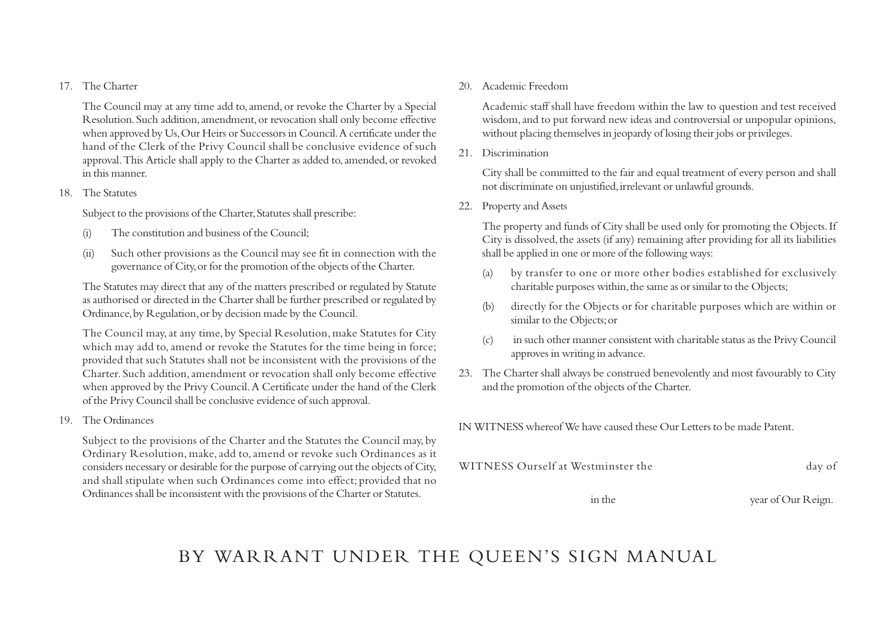#### 17. The Charter

The Council may at any time add to, amend, or revoke the Charter by a Special Resolution. Such addition, amendment, or revocation shall only become effective when approved by Us, Our Heirs or Successors in Council. A certificate under the hand of the Clerk of the Privy Council shall be conclusive evidence of such approval. This Article shall apply to the Charter as added to, amended, or revoked in this manner.

#### 18. The Statutes

Subject to the provisions of the Charter, Statutes shall prescribe:

- (i) The constitution and business of the Council;
- (ii) Such other provisions as the Council may see fit in connection with the governance of City, or for the promotion of the objects of the Charter.

The Statutes may direct that any of the matters prescribed or regulated by Statute as authorised or directed in the Charter shall be further prescribed or regulated by Ordinance, by Regulation, or by decision made by the Council.

The Council may, at any time, by Special Resolution, make Statutes for City which may add to, amend or revoke the Statutes for the time being in force; provided that such Statutes shall not be inconsistent with the provisions of the Charter. Such addition, amendment or revocation shall only become effective when approved by the Privy Council. A Certificate under the hand of the Clerk of the Privy Council shall be conclusive evidence of such approval.

19. The Ordinances

Subject to the provisions of the Charter and the Statutes the Council may, by Ordinary Resolution, make, add to, amend or revoke such Ordinances as it considers necessary or desirable for the purpose of carrying out the objects of City, and shall stipulate when such Ordinances come into effect; provided that no Ordinances shall be inconsistent with the provisions of the Charter or Statutes.

#### 20. Academic Freedom

Academic staff shall have freedom within the law to question and test received wisdom, and to put forward new ideas and controversial or unpopular opinions, without placing themselves in jeopardy of losing their jobs or privileges.

21. Discrimination

City shall be committed to the fair and equal treatment of every person and shall not discriminate on unjustified, irrelevant or unlawful grounds.

22. Property and Assets

The property and funds of City shall be used only for promoting the Objects. If City is dissolved, the assets (if any) remaining after providing for all its liabilities shall be applied in one or more of the following ways:

- (a) by transfer to one or more other bodies established for exclusively charitable purposes within, the same as or similar to the Objects;
- (b) directly for the Objects or for charitable purposes which are within or similar to the Objects; or
- (c) in such other manner consistent with charitable status as the Privy Council approves in writing in advance.
- 23. The Charter shall always be construed benevolently and most favourably to City and the promotion of the objects of the Charter.

IN WITNESS whereof We have caused these Our Letters to be made Patent.

| WITNESS Ourself at Westminster the | day of |
|------------------------------------|--------|
|                                    |        |

in the year of Our Reign.

## BY WARRANT UNDER THE QUEEN'S SIGN MANUAL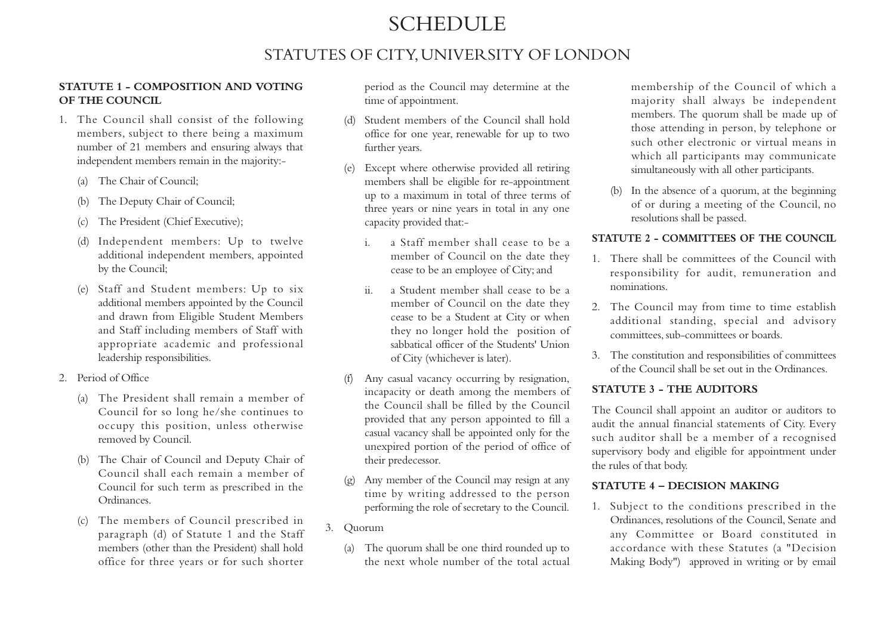## **SCHEDULE**

### STATUTES OF CITY, UNIVERSITY OF LONDON

#### **STATUTE 1 - COMPOSITION AND VOTING OF THE COUNCIL**

- 1. The Council shall consist of the following members, subject to there being a maximum number of 21 members and ensuring always that independent members remain in the majority:-
	- (a) The Chair of Council;
	- (b) The Deputy Chair of Council;
	- (c) The President (Chief Executive);
	- (d) Independent members: Up to twelve additional independent members, appointed by the Council;
	- (e) Staff and Student members: Up to six additional members appointed by the Council and drawn from Eligible Student Members and Staff including members of Staff with appropriate academic and professional leadership responsibilities.
- 2. Period of Office
	- (a) The President shall remain a member of Council for so long he/she continues to occupy this position, unless otherwise removed by Council.
	- (b) The Chair of Council and Deputy Chair of Council shall each remain a member of Council for such term as prescribed in the Ordinances.
	- (c) The members of Council prescribed in paragraph (d) of Statute 1 and the Staff members (other than the President) shall hold office for three years or for such shorter

period as the Council may determine at the time of appointment.

- (d) Student members of the Council shall hold office for one year, renewable for up to two further years.
- (e) Except where otherwise provided all retiring members shall be eligible for re-appointment up to a maximum in total of three terms of three years or nine years in total in any one capacity provided that:
	- i. a Staff member shall cease to be a member of Council on the date they cease to be an employee of City; and
	- ii. a Student member shall cease to be a member of Council on the date they cease to be a Student at City or when they no longer hold the position of sabbatical officer of the Students' Union of City (whichever is later).
- (f) Any casual vacancy occurring by resignation, incapacity or death among the members of the Council shall be filled by the Council provided that any person appointed to fill a casual vacancy shall be appointed only for the unexpired portion of the period of office of their predecessor.
- (g) Any member of the Council may resign at any time by writing addressed to the person performing the role of secretary to the Council.
- 3. Quorum
	- (a) The quorum shall be one third rounded up to the next whole number of the total actual

membership of the Council of which a majority shall always be independent members. The quorum shall be made up of those attending in person, by telephone or such other electronic or virtual means in which all participants may communicate simultaneously with all other participants.

(b) In the absence of a quorum, at the beginning of or during a meeting of the Council, no resolutions shall be passed.

#### **STATUTE 2 - COMMITTEES OF THE COUNCIL**

- 1. There shall be committees of the Council with responsibility for audit, remuneration and nominations.
- 2. The Council may from time to time establish additional standing, special and advisory committees, sub-committees or boards.
- 3. The constitution and responsibilities of committees of the Council shall be set out in the Ordinances.

#### **STATUTE 3 - THE AUDITORS**

The Council shall appoint an auditor or auditors to audit the annual financial statements of City. Every such auditor shall be a member of a recognised supervisory body and eligible for appointment under the rules of that body.

#### **STATUTE 4 – DECISION MAKING**

1. Subject to the conditions prescribed in the Ordinances, resolutions of the Council, Senate and any Committee or Board constituted in accordance with these Statutes (a "Decision Making Body") approved in writing or by email